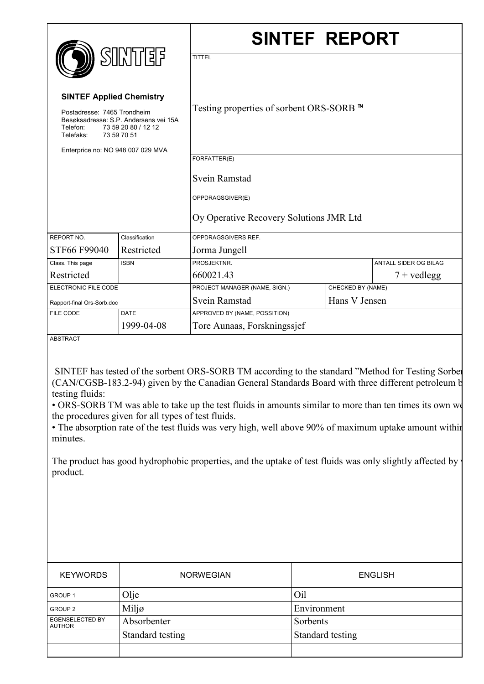|                                                                                                                                                                                         |                | <b>SINTEF REPORT</b>                                      |                   |                              |
|-----------------------------------------------------------------------------------------------------------------------------------------------------------------------------------------|----------------|-----------------------------------------------------------|-------------------|------------------------------|
| <b>SINTEF</b><br><b>SINTEF Applied Chemistry</b><br>Postadresse: 7465 Trondheim<br>Besøksadresse: S.P. Andersens vei 15A<br>73 59 20 80 / 12 12<br>Telefon:<br>Telefaks:<br>73 59 70 51 |                | <b>TITTEL</b><br>Testing properties of sorbent ORS-SORB ™ |                   |                              |
| Enterprice no: NO 948 007 029 MVA                                                                                                                                                       |                | FORFATTER(E)                                              |                   |                              |
|                                                                                                                                                                                         |                | Svein Ramstad                                             |                   |                              |
|                                                                                                                                                                                         |                | OPPDRAGSGIVER(E)                                          |                   |                              |
|                                                                                                                                                                                         |                | Oy Operative Recovery Solutions JMR Ltd                   |                   |                              |
| REPORT NO.                                                                                                                                                                              | Classification | OPPDRAGSGIVERS REF.                                       |                   |                              |
| STF66 F99040                                                                                                                                                                            | Restricted     | Jorma Jungell                                             |                   |                              |
| Class. This page                                                                                                                                                                        | <b>ISBN</b>    | PROSJEKTNR.                                               |                   | <b>ANTALL SIDER OG BILAG</b> |
| Restricted                                                                                                                                                                              |                | 660021.43                                                 |                   | $7 +$ vedlegg                |
| ELECTRONIC FILE CODE                                                                                                                                                                    |                | PROJECT MANAGER (NAME, SIGN.)                             | CHECKED BY (NAME) |                              |
| Rapport-final Ors-Sorb.doc                                                                                                                                                              |                | Hans V Jensen<br>Svein Ramstad                            |                   |                              |
| FILE CODE                                                                                                                                                                               | <b>DATE</b>    | APPROVED BY (NAME, POSSITION)                             |                   |                              |
| 1999-04-08                                                                                                                                                                              |                | Tore Aunaas, Forskningssjef                               |                   |                              |

ABSTRACT

SINTEF has tested of the sorbent ORS-SORB TM according to the standard "Method for Testing Sorben (CAN/CGSB-183.2-94) given by the Canadian General Standards Board with three different petroleum b testing fluids:

• ORS-SORB TM was able to take up the test fluids in amounts similar to more than ten times its own we the procedures given for all types of test fluids.

• The absorption rate of the test fluids was very high, well above 90% of maximum uptake amount within minutes.

The product has good hydrophobic properties, and the uptake of test fluids was only slightly affected by product.

| <b>KEYWORDS</b>                  | <b>NORWEGIAN</b> | <b>ENGLISH</b>   |
|----------------------------------|------------------|------------------|
| GROUP <sub>1</sub>               | Olje             | Oil              |
| GROUP <sub>2</sub>               | Miljø            | Environment      |
| <b>EGENSELECTED BY</b><br>AUTHOR | Absorbenter      | Sorbents         |
|                                  | Standard testing | Standard testing |
|                                  |                  |                  |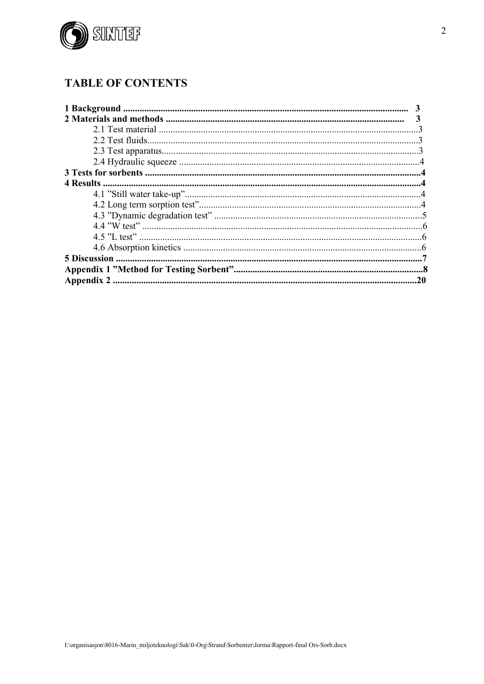

# **TABLE OF CONTENTS**

| .20 |
|-----|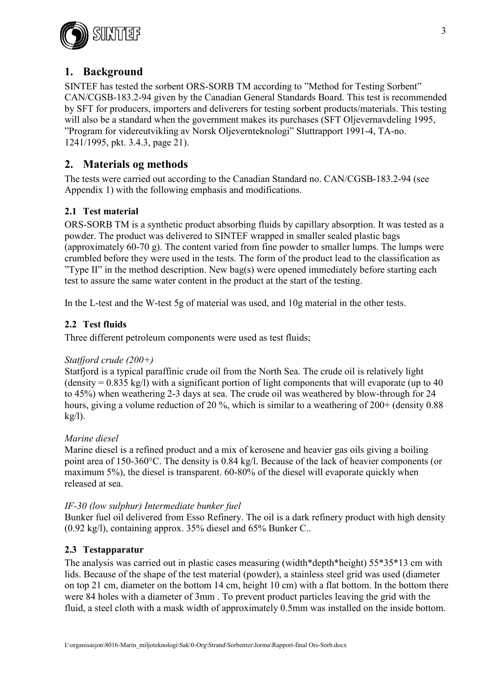

# **1. Background**

SINTEF has tested the sorbent ORS-SORB TM according to "Method for Testing Sorbent" CAN/CGSB-183.2-94 given by the Canadian General Standards Board. This test is recommended by SFT for producers, importers and deliverers for testing sorbent products/materials. This testing will also be a standard when the government makes its purchases (SFT Oljevernavdeling 1995, "Program for videreutvikling av Norsk Oljevernteknologi" Sluttrapport 1991-4, TA-no. 1241/1995, pkt. 3.4.3, page 21).

# **2. Materials og methods**

The tests were carried out according to the Canadian Standard no. CAN/CGSB-183.2-94 (see Appendix 1) with the following emphasis and modifications.

### **2.1 Test material**

ORS-SORB TM is a synthetic product absorbing fluids by capillary absorption. It was tested as a powder. The product was delivered to SINTEF wrapped in smaller sealed plastic bags (approximately 60-70 g). The content varied from fine powder to smaller lumps. The lumps were crumbled before they were used in the tests. The form of the product lead to the classification as "Type II" in the method description. New bag(s) were opened immediately before starting each test to assure the same water content in the product at the start of the testing.

In the L-test and the W-test 5g of material was used, and 10g material in the other tests.

### **2.2 Test fluids**

Three different petroleum components were used as test fluids;

### *Statfjord crude (200+)*

Statfjord is a typical paraffinic crude oil from the North Sea. The crude oil is relatively light  $(density = 0.835 kg/l)$  with a significant portion of light components that will evaporate (up to 40) to 45%) when weathering 2-3 days at sea. The crude oil was weathered by blow-through for 24 hours, giving a volume reduction of 20 %, which is similar to a weathering of 200+ (density 0.88)  $kg/l$ ).

### *Marine diesel*

Marine diesel is a refined product and a mix of kerosene and heavier gas oils giving a boiling point area of 150-360°C. The density is 0.84 kg/l. Because of the lack of heavier components (or maximum 5%), the diesel is transparent. 60-80% of the diesel will evaporate quickly when released at sea.

#### *IF-30 (low sulphur) Intermediate bunker fuel*

Bunker fuel oil delivered from Esso Refinery. The oil is a dark refinery product with high density (0.92 kg/l), containing approx. 35% diesel and 65% Bunker C..

### **2.3 Testapparatur**

The analysis was carried out in plastic cases measuring (width\*depth\*height) 55\*35\*13 cm with lids. Because of the shape of the test material (powder), a stainless steel grid was used (diameter on top 21 cm, diameter on the bottom 14 cm, height 10 cm) with a flat bottom. In the bottom there were 84 holes with a diameter of 3mm . To prevent product particles leaving the grid with the fluid, a steel cloth with a mask width of approximately 0.5mm was installed on the inside bottom.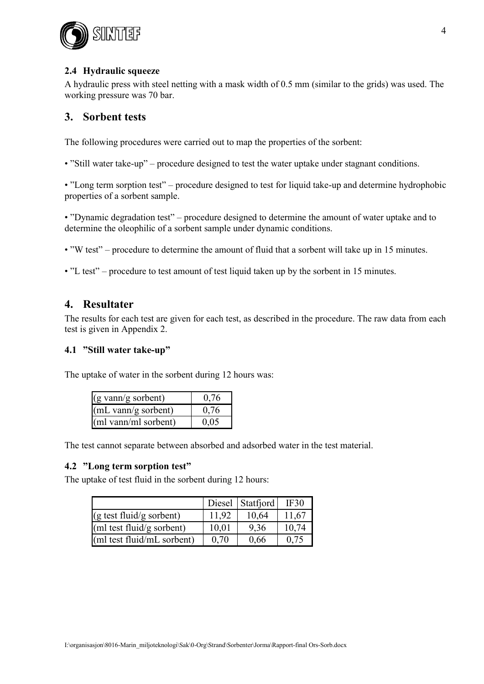

### **2.4 Hydraulic squeeze**

A hydraulic press with steel netting with a mask width of 0.5 mm (similar to the grids) was used. The working pressure was 70 bar.

## **3. Sorbent tests**

The following procedures were carried out to map the properties of the sorbent:

• "Still water take-up" – procedure designed to test the water uptake under stagnant conditions.

• "Long term sorption test" – procedure designed to test for liquid take-up and determine hydrophobic properties of a sorbent sample.

• "Dynamic degradation test" – procedure designed to determine the amount of water uptake and to determine the oleophilic of a sorbent sample under dynamic conditions.

• "W test" – procedure to determine the amount of fluid that a sorbent will take up in 15 minutes.

• "L test" – procedure to test amount of test liquid taken up by the sorbent in 15 minutes.

### **4. Resultater**

The results for each test are given for each test, as described in the procedure. The raw data from each test is given in Appendix 2.

#### **4.1 "Still water take-up"**

The uptake of water in the sorbent during 12 hours was:

| $(g \text{ vann/g} \text{ sorbent})$  | 0.76 |
|---------------------------------------|------|
| $(mL \text{ vann/g} \text{ sorbent})$ | 0,76 |
| (ml vann/ml sorbent)                  | 0,05 |

The test cannot separate between absorbed and adsorbed water in the test material.

#### **4.2 "Long term sorption test"**

The uptake of test fluid in the sorbent during 12 hours:

|                                    |       | Diesel Statfjord | IF30  |
|------------------------------------|-------|------------------|-------|
| $(g \text{ test fluid/g sorbent})$ | 11,92 | 10,64            | 11,67 |
| (ml test fluid/g sorbent)          | 10,01 | 9,36             | 10,74 |
| (ml test fluid/mL sorbent)         | 0.70  | 0,66             | 0.75  |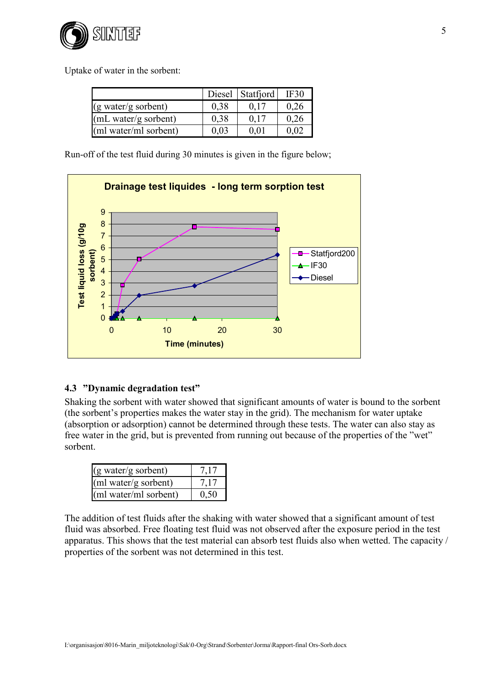

Uptake of water in the sorbent:

|                                           | Diesel | Statfjord | IF30 |
|-------------------------------------------|--------|-----------|------|
| $(g \text{ water/g sorbent})$             | 0.38   |           | 0.26 |
| (mL water/g sorbent)                      | 0.38   | 0.17      | 0.26 |
| $\left[\text{m1 water/ml sorbent}\right]$ | 0,03   | 0.01      | 0 02 |

Run-off of the test fluid during 30 minutes is given in the figure below;



### **4.3 "Dynamic degradation test"**

Shaking the sorbent with water showed that significant amounts of water is bound to the sorbent (the sorbent's properties makes the water stay in the grid). The mechanism for water uptake (absorption or adsorption) cannot be determined through these tests. The water can also stay as free water in the grid, but is prevented from running out because of the properties of the "wet" sorbent.

| (g water/g sorbent)   | 7,17 |
|-----------------------|------|
| (ml water/g sorbent)  | 7,17 |
| (ml water/ml sorbent) | 0,50 |

The addition of test fluids after the shaking with water showed that a significant amount of test fluid was absorbed. Free floating test fluid was not observed after the exposure period in the test apparatus. This shows that the test material can absorb test fluids also when wetted. The capacity / properties of the sorbent was not determined in this test.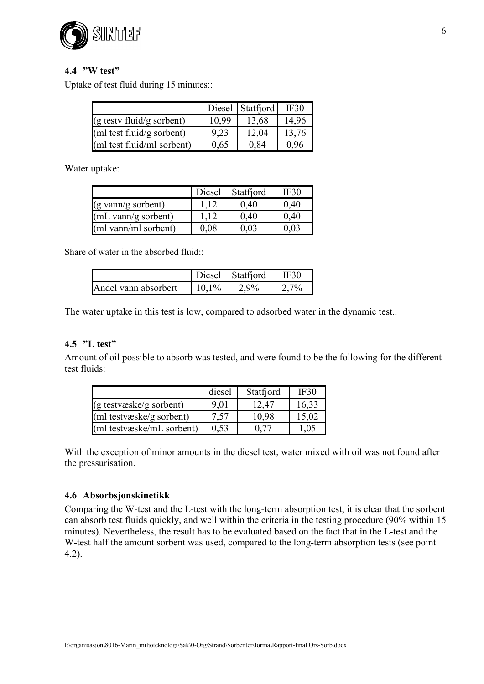

### **4.4 "W test"**

Uptake of test fluid during 15 minutes::

|                                     |       | Diesel Statfjord | IF30  |
|-------------------------------------|-------|------------------|-------|
| $(g \text{ testv fluid/g sorbent})$ | 10.99 | 13,68            | 14,96 |
| (ml test fluid/g sorbent)           | 9,23  | 12,04            | 13,76 |
| (ml test fluid/ml sorbent)          | 0,65  | 0,84             | 0,96  |

Water uptake:

|                                       | Diesel | Statfjord | IF30 |
|---------------------------------------|--------|-----------|------|
| $(g \text{ vann/g} \text{ sorbent})$  | 112    | 0,40      | 0,40 |
| $(mL \text{ vann/g} \text{ sorbent})$ | 1.12   | 0.40      | 0.40 |
| (ml vann/ml sorbent)                  | 0,08   | 0,03      | 0.03 |

Share of water in the absorbed fluid::

|                      | Diesel  | Statfjord | IF30 |
|----------------------|---------|-----------|------|
| Andel vann absorbert | $101\%$ | $2.9\%$   | 70/  |

The water uptake in this test is low, compared to adsorbed water in the dynamic test..

### **4.5 "L test"**

Amount of oil possible to absorb was tested, and were found to be the following for the different test fluids:

|                           | diesel | Statfjord | <b>IF30</b> |
|---------------------------|--------|-----------|-------------|
| $(g$ testvæske/g sorbent) | 9.01   | 12,47     | 16,33       |
| (ml testvæske/g sorbent)  | 7.57   | 10,98     | 15,02       |
| (ml testvæske/mL sorbent) | 0.53   | 0.77      | 1,05        |

With the exception of minor amounts in the diesel test, water mixed with oil was not found after the pressurisation.

### **4.6 Absorbsjonskinetikk**

Comparing the W-test and the L-test with the long-term absorption test, it is clear that the sorbent can absorb test fluids quickly, and well within the criteria in the testing procedure (90% within 15 minutes). Nevertheless, the result has to be evaluated based on the fact that in the L-test and the W-test half the amount sorbent was used, compared to the long-term absorption tests (see point 4.2).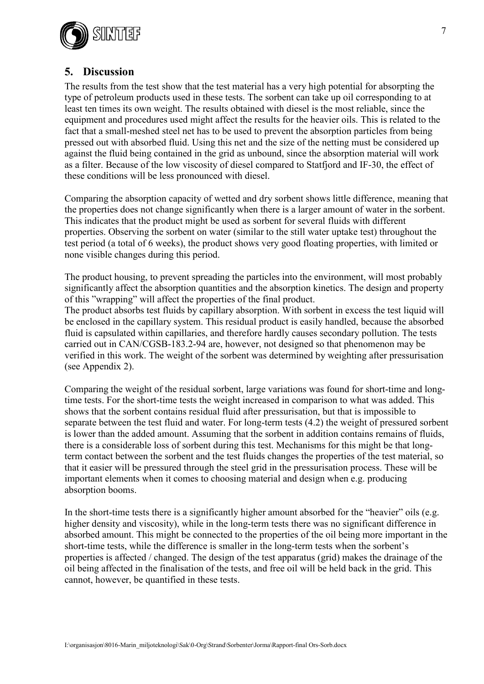

# **5. Discussion**

The results from the test show that the test material has a very high potential for absorpting the type of petroleum products used in these tests. The sorbent can take up oil corresponding to at least ten times its own weight. The results obtained with diesel is the most reliable, since the equipment and procedures used might affect the results for the heavier oils. This is related to the fact that a small-meshed steel net has to be used to prevent the absorption particles from being pressed out with absorbed fluid. Using this net and the size of the netting must be considered up against the fluid being contained in the grid as unbound, since the absorption material will work as a filter. Because of the low viscosity of diesel compared to Statfjord and IF-30, the effect of these conditions will be less pronounced with diesel.

Comparing the absorption capacity of wetted and dry sorbent shows little difference, meaning that the properties does not change significantly when there is a larger amount of water in the sorbent. This indicates that the product might be used as sorbent for several fluids with different properties. Observing the sorbent on water (similar to the still water uptake test) throughout the test period (a total of 6 weeks), the product shows very good floating properties, with limited or none visible changes during this period.

The product housing, to prevent spreading the particles into the environment, will most probably significantly affect the absorption quantities and the absorption kinetics. The design and property of this "wrapping" will affect the properties of the final product. The product absorbs test fluids by capillary absorption. With sorbent in excess the test liquid will be enclosed in the capillary system. This residual product is easily handled, because the absorbed

fluid is capsulated within capillaries, and therefore hardly causes secondary pollution. The tests carried out in CAN/CGSB-183.2-94 are, however, not designed so that phenomenon may be verified in this work. The weight of the sorbent was determined by weighting after pressurisation (see Appendix 2).

Comparing the weight of the residual sorbent, large variations was found for short-time and longtime tests. For the short-time tests the weight increased in comparison to what was added. This shows that the sorbent contains residual fluid after pressurisation, but that is impossible to separate between the test fluid and water. For long-term tests (4.2) the weight of pressured sorbent is lower than the added amount. Assuming that the sorbent in addition contains remains of fluids, there is a considerable loss of sorbent during this test. Mechanisms for this might be that longterm contact between the sorbent and the test fluids changes the properties of the test material, so that it easier will be pressured through the steel grid in the pressurisation process. These will be important elements when it comes to choosing material and design when e.g. producing absorption booms.

In the short-time tests there is a significantly higher amount absorbed for the "heavier" oils (e.g. higher density and viscosity), while in the long-term tests there was no significant difference in absorbed amount. This might be connected to the properties of the oil being more important in the short-time tests, while the difference is smaller in the long-term tests when the sorbent's properties is affected / changed. The design of the test apparatus (grid) makes the drainage of the oil being affected in the finalisation of the tests, and free oil will be held back in the grid. This cannot, however, be quantified in these tests.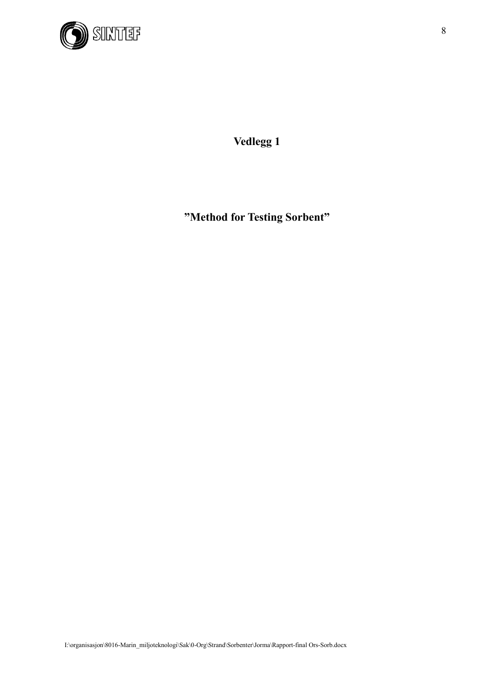

**Vedlegg 1**

**"Method for Testing Sorbent"**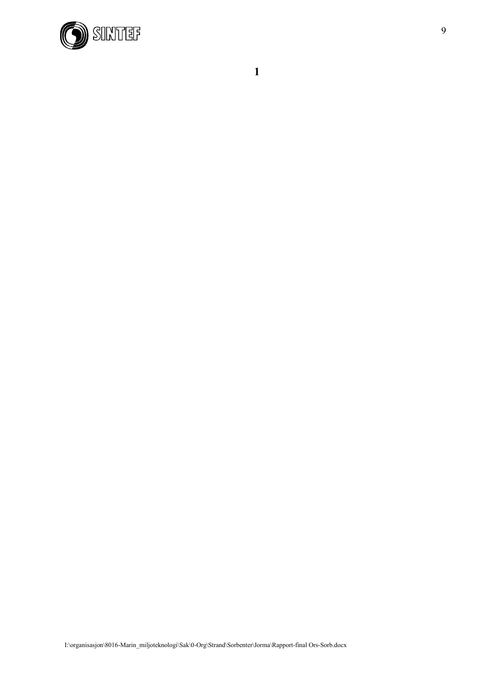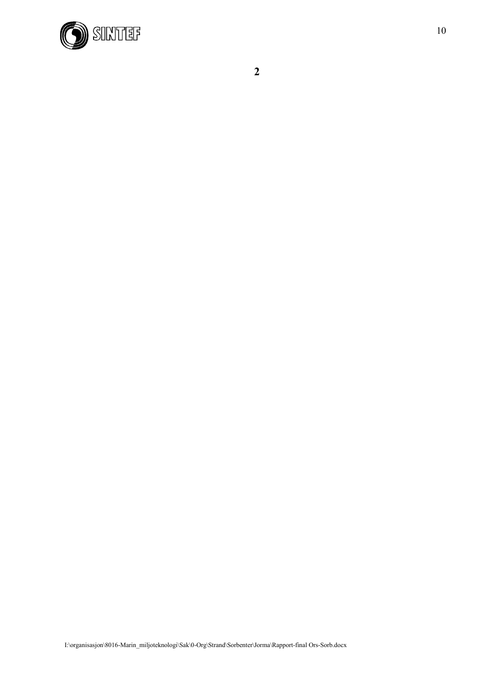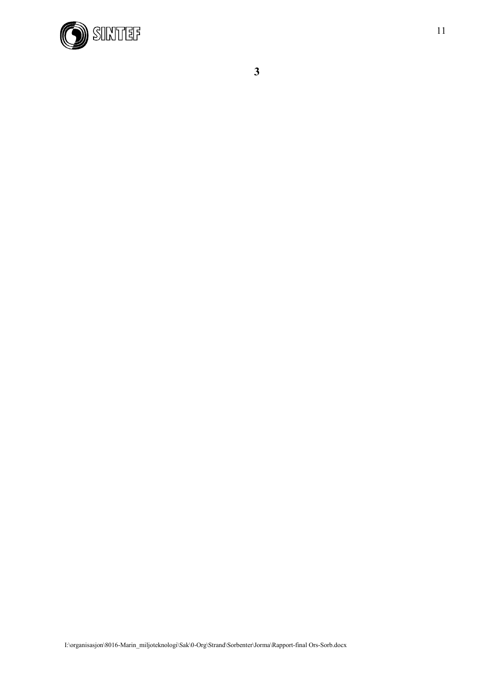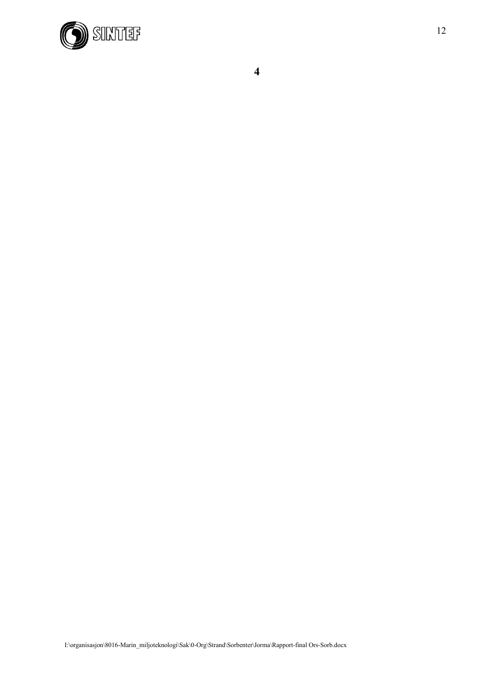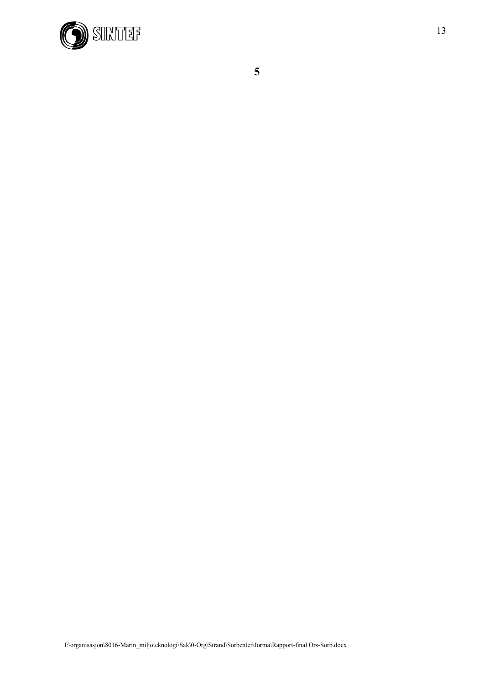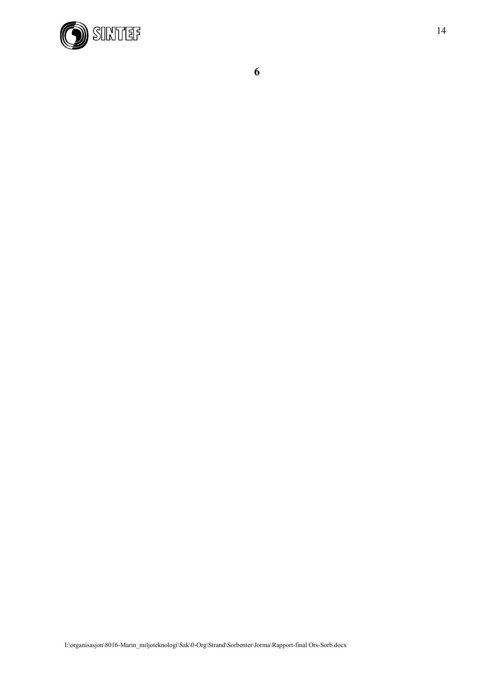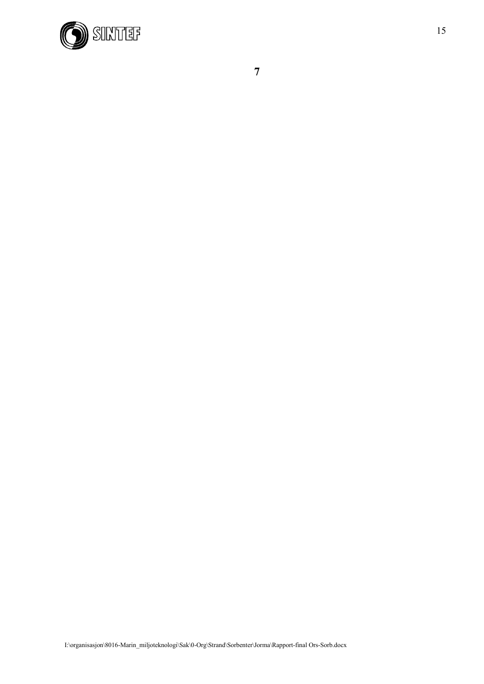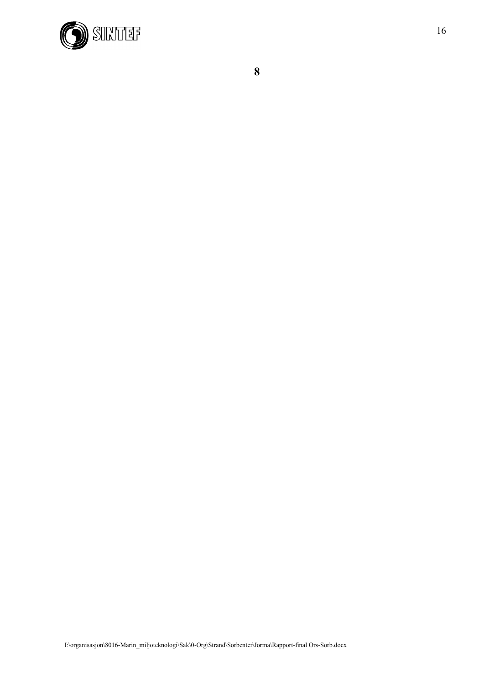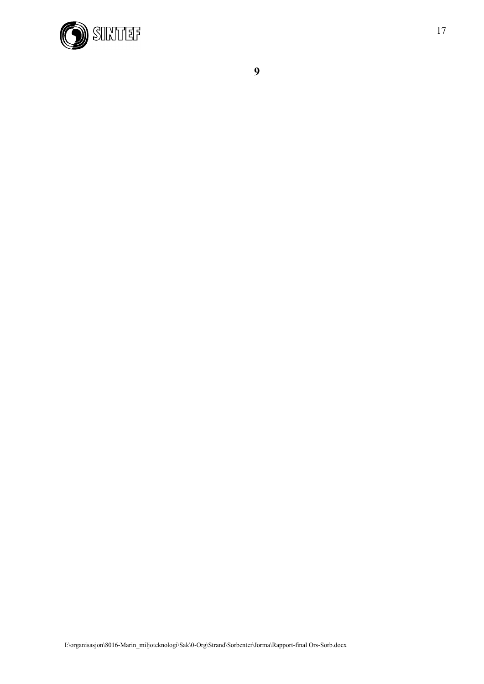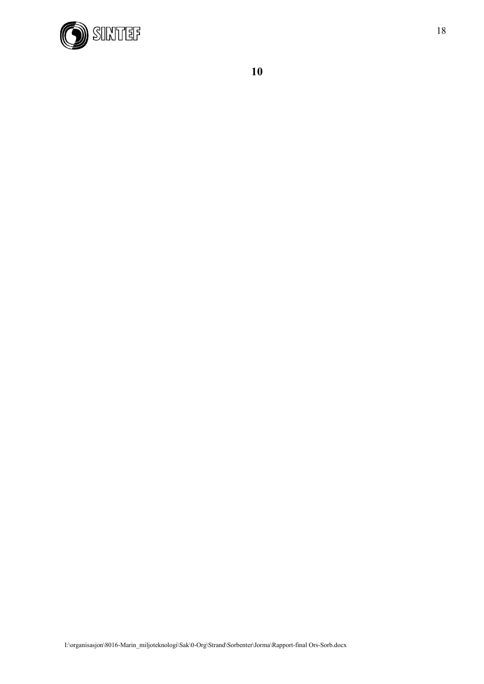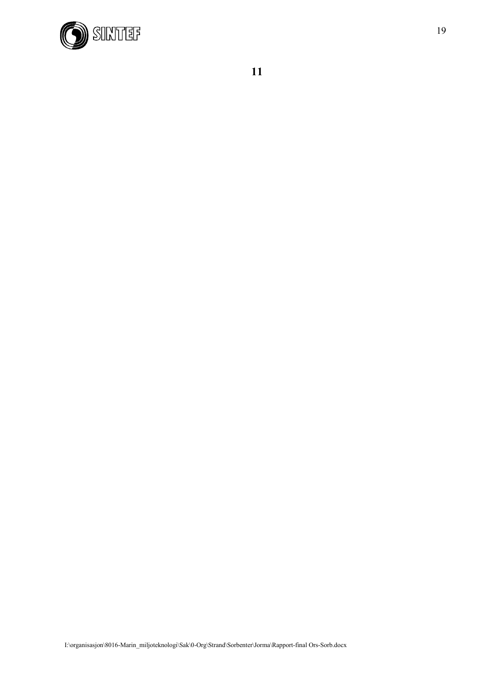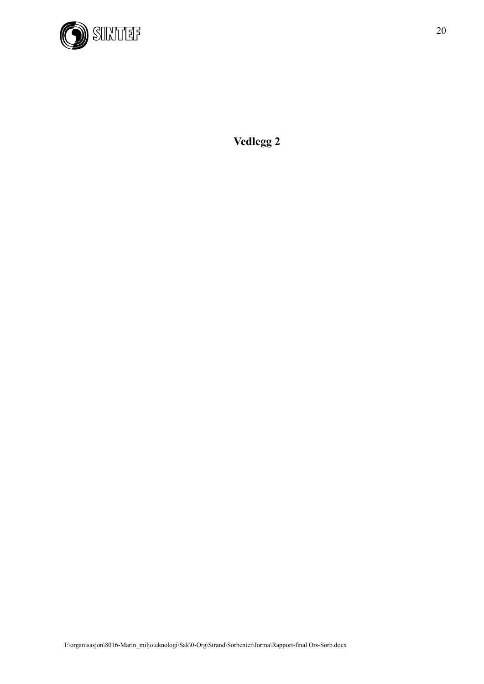

**Vedlegg 2**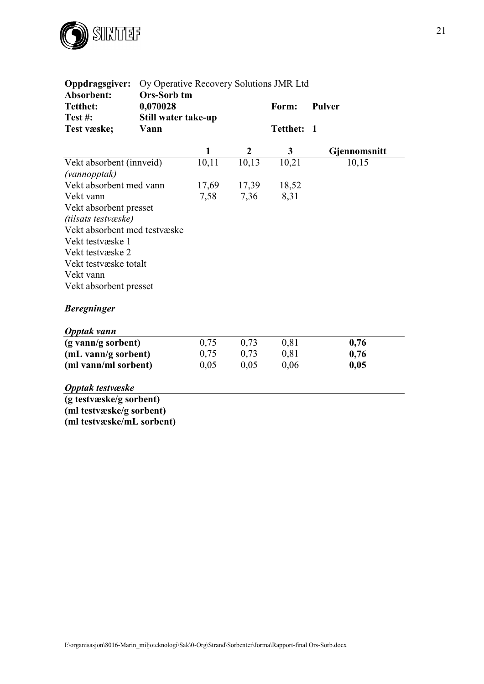

**(ml testvæske/mL sorbent)**

| Oppdragsgiver:<br>Absorbent: | Oy Operative Recovery Solutions JMR Ltd |              |                  |              |               |
|------------------------------|-----------------------------------------|--------------|------------------|--------------|---------------|
| <b>Tetthet:</b><br>Test#:    | Ors-Sorb tm<br>0,070028                 |              |                  | Form:        | <b>Pulver</b> |
| Test væske;                  | Still water take-up<br>Vann             |              |                  | Tetthet: 1   |               |
|                              |                                         | $\mathbf{1}$ | $\boldsymbol{2}$ | $\mathbf{3}$ | Gjennomsnitt  |
| Vekt absorbent (innveid)     |                                         | 10,11        | 10,13            | 10,21        | 10,15         |
| (vannopptak)                 |                                         |              |                  |              |               |
| Vekt absorbent med vann      |                                         | 17,69        | 17,39            | 18,52        |               |
| Vekt vann                    |                                         | 7,58         | 7,36             | 8,31         |               |
| Vekt absorbent presset       |                                         |              |                  |              |               |
| (tilsats testvæske)          |                                         |              |                  |              |               |
| Vekt absorbent med testvæske |                                         |              |                  |              |               |
| Vekt testvæske 1             |                                         |              |                  |              |               |
| Vekt testvæske 2             |                                         |              |                  |              |               |
| Vekt testvæske totalt        |                                         |              |                  |              |               |
| Vekt vann                    |                                         |              |                  |              |               |
| Vekt absorbent presset       |                                         |              |                  |              |               |
| <b>Beregninger</b>           |                                         |              |                  |              |               |
| Opptak vann                  |                                         |              |                  |              |               |
| (g vann/g sorbent)           |                                         | 0,75         | 0,73             | 0,81         | 0,76          |
| (mL vann/g sorbent)          |                                         | 0,75         | 0,73             | 0,81         | 0,76          |
| (ml vann/ml sorbent)         |                                         | 0,05         | 0,05             | 0,06         | 0,05          |
| Opptak testvæske             |                                         |              |                  |              |               |
| (g testvæske/g sorbent)      |                                         |              |                  |              |               |
| (ml testvæske/g sorbent)     |                                         |              |                  |              |               |

21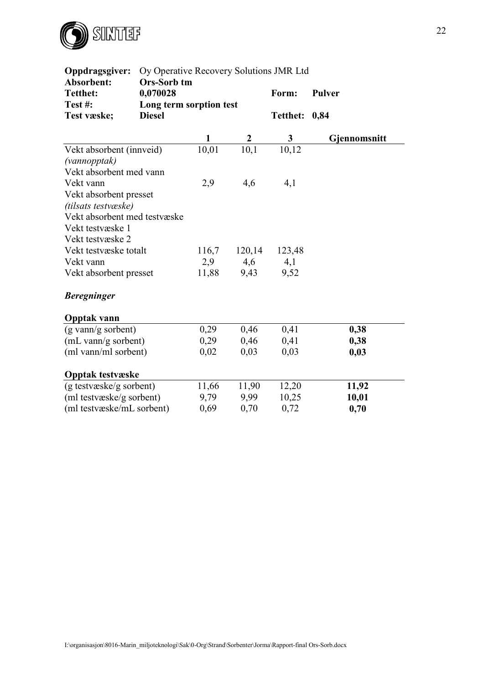

| Oppdragsgiver:               | Oy Operative Recovery Solutions JMR Ltd |       |        |                 |                     |  |  |  |
|------------------------------|-----------------------------------------|-------|--------|-----------------|---------------------|--|--|--|
| Absorbent:                   | Ors-Sorb tm                             |       |        |                 |                     |  |  |  |
| <b>Tetthet:</b>              | 0,070028                                |       |        | Form:           | <b>Pulver</b>       |  |  |  |
| Test#:                       | Long term sorption test                 |       |        |                 |                     |  |  |  |
| Test væske;                  | <b>Diesel</b>                           |       |        | <b>Tetthet:</b> | 0,84                |  |  |  |
|                              |                                         | 1     |        | 3               | <b>Gjennomsnitt</b> |  |  |  |
| Vekt absorbent (innveid)     |                                         | 10,01 | 10,1   | 10,12           |                     |  |  |  |
| (vannopptak)                 |                                         |       |        |                 |                     |  |  |  |
| Vekt absorbent med vann      |                                         |       |        |                 |                     |  |  |  |
| Vekt vann                    |                                         | 2,9   | 4,6    | 4,1             |                     |  |  |  |
| Vekt absorbent presset       |                                         |       |        |                 |                     |  |  |  |
| (tilsats testvæske)          |                                         |       |        |                 |                     |  |  |  |
| Vekt absorbent med testvæske |                                         |       |        |                 |                     |  |  |  |
| Vekt testvæske 1             |                                         |       |        |                 |                     |  |  |  |
| Vekt testvæske 2             |                                         |       |        |                 |                     |  |  |  |
| Vekt testvæske totalt        |                                         | 116,7 | 120,14 | 123,48          |                     |  |  |  |
| Vekt vann                    |                                         | 2,9   | 4,6    | 4,1             |                     |  |  |  |
| Vekt absorbent presset       |                                         | 11,88 | 9,43   | 9,52            |                     |  |  |  |
| <b>Beregninger</b>           |                                         |       |        |                 |                     |  |  |  |
| <b>Opptak vann</b>           |                                         |       |        |                 |                     |  |  |  |
| (g vann/g sorbent)           |                                         | 0,29  | 0,46   | 0,41            | 0,38                |  |  |  |
| (mL vann/g sorbent)          |                                         | 0,29  | 0,46   | 0,41            | 0,38                |  |  |  |
| (ml vann/ml sorbent)         |                                         | 0,02  | 0,03   | 0,03            | 0,03                |  |  |  |
| <b>Opptak testvæske</b>      |                                         |       |        |                 |                     |  |  |  |
| (g testvæske/g sorbent)      |                                         | 11,66 | 11,90  | 12,20           | 11,92               |  |  |  |
| (ml testvæske/g sorbent)     |                                         | 9,79  | 9,99   | 10,25           | 10,01               |  |  |  |
| (ml testvæske/mL sorbent)    |                                         | 0,69  | 0,70   | 0,72            | 0,70                |  |  |  |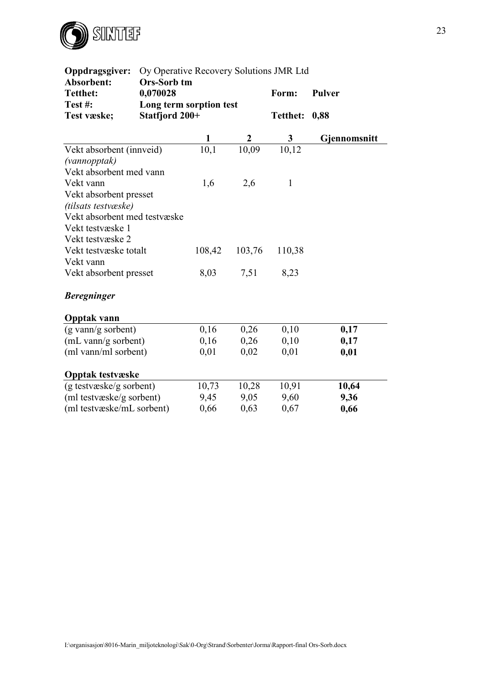

| Oppdragsgiver:               | Oy Operative Recovery Solutions JMR Ltd |        |        |                 |               |  |  |  |
|------------------------------|-----------------------------------------|--------|--------|-----------------|---------------|--|--|--|
| Absorbent:                   | Ors-Sorb tm                             |        |        |                 |               |  |  |  |
| <b>Tetthet:</b>              | 0,070028                                |        |        | Form:           | <b>Pulver</b> |  |  |  |
| Test#:                       | Long term sorption test                 |        |        |                 |               |  |  |  |
| Test væske;                  | Statfjord 200+                          |        |        | <b>Tetthet:</b> | 0,88          |  |  |  |
|                              |                                         | 1      |        | 3               | Gjennomsnitt  |  |  |  |
| Vekt absorbent (innveid)     |                                         | 10,1   | 10,09  | 10,12           |               |  |  |  |
| (vannopptak)                 |                                         |        |        |                 |               |  |  |  |
| Vekt absorbent med vann      |                                         |        |        |                 |               |  |  |  |
| Vekt vann                    |                                         | 1,6    | 2,6    | $\mathbf{1}$    |               |  |  |  |
| Vekt absorbent presset       |                                         |        |        |                 |               |  |  |  |
| (tilsats testvæske)          |                                         |        |        |                 |               |  |  |  |
| Vekt absorbent med testvæske |                                         |        |        |                 |               |  |  |  |
| Vekt testvæske 1             |                                         |        |        |                 |               |  |  |  |
| Vekt testvæske 2             |                                         |        |        |                 |               |  |  |  |
| Vekt testvæske totalt        |                                         | 108,42 | 103,76 | 110,38          |               |  |  |  |
| Vekt vann                    |                                         |        |        |                 |               |  |  |  |
| Vekt absorbent presset       |                                         | 8,03   | 7,51   | 8,23            |               |  |  |  |
| <b>Beregninger</b>           |                                         |        |        |                 |               |  |  |  |
| <b>Opptak vann</b>           |                                         |        |        |                 |               |  |  |  |
| (g vann/g sorbent)           |                                         | 0,16   | 0,26   | 0,10            | 0,17          |  |  |  |
| (mL vann/g sorbent)          |                                         | 0,16   | 0,26   | 0,10            | 0,17          |  |  |  |
| (ml vann/ml sorbent)         |                                         | 0,01   | 0,02   | 0,01            | 0,01          |  |  |  |
| <b>Opptak testvæske</b>      |                                         |        |        |                 |               |  |  |  |
| (g testvæske/g sorbent)      |                                         | 10,73  | 10,28  | 10,91           | 10,64         |  |  |  |
| (ml testvæske/g sorbent)     |                                         | 9,45   | 9,05   | 9,60            | 9,36          |  |  |  |
| (ml testvæske/mL sorbent)    |                                         | 0,66   | 0,63   | 0,67            | 0,66          |  |  |  |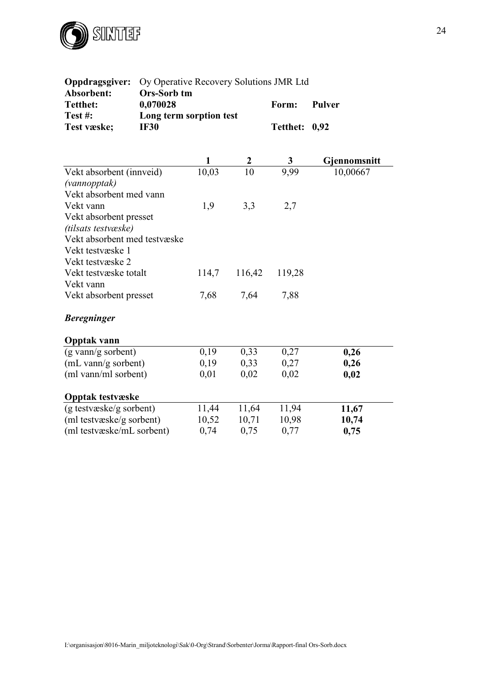

| Oppdragsgiver:                        | Oy Operative Recovery Solutions JMR Ltd |              |                  |                 |               |  |  |  |
|---------------------------------------|-----------------------------------------|--------------|------------------|-----------------|---------------|--|--|--|
| Absorbent:<br><b>Tetthet:</b>         | <b>Ors-Sorb tm</b><br>0,070028          | Form:        |                  |                 |               |  |  |  |
| Test#:                                | Long term sorption test                 |              |                  |                 | <b>Pulver</b> |  |  |  |
| Test væske;                           | <b>IF30</b>                             |              |                  | <b>Tetthet:</b> | 0,92          |  |  |  |
|                                       |                                         |              |                  |                 |               |  |  |  |
|                                       |                                         | $\mathbf{1}$ | $\boldsymbol{2}$ | $\mathbf{3}$    | Gjennomsnitt  |  |  |  |
| Vekt absorbent (innveid)              |                                         | 10,03        | 10               | 9,99            | 10,00667      |  |  |  |
| (vannopptak)                          |                                         |              |                  |                 |               |  |  |  |
| Vekt absorbent med vann               |                                         |              |                  |                 |               |  |  |  |
| Vekt vann                             |                                         | 1,9          | 3,3              | 2,7             |               |  |  |  |
| Vekt absorbent presset                |                                         |              |                  |                 |               |  |  |  |
| (tilsats testvæske)                   |                                         |              |                  |                 |               |  |  |  |
| Vekt absorbent med testvæske          |                                         |              |                  |                 |               |  |  |  |
| Vekt testvæske 1                      |                                         |              |                  |                 |               |  |  |  |
| Vekt testvæske 2                      |                                         |              |                  |                 |               |  |  |  |
| Vekt testvæske totalt                 |                                         | 114,7        | 116,42           | 119,28          |               |  |  |  |
| Vekt vann                             |                                         |              |                  |                 |               |  |  |  |
| Vekt absorbent presset                |                                         | 7,68         | 7,64             | 7,88            |               |  |  |  |
| <b>Beregninger</b>                    |                                         |              |                  |                 |               |  |  |  |
| <b>Opptak vann</b>                    |                                         |              |                  |                 |               |  |  |  |
| $(g \text{ vann/g} \text{ sorbent})$  |                                         | 0,19         | 0,33             | 0,27            | 0,26          |  |  |  |
| $(mL \text{ vann/g} \text{ sorbent})$ |                                         | 0,19         | 0,33             | 0,27            | 0,26          |  |  |  |
| (ml vann/ml sorbent)                  |                                         | 0,01         | 0,02             | 0,02            | 0,02          |  |  |  |
| <b>Opptak testvæske</b>               |                                         |              |                  |                 |               |  |  |  |
| (g testvæske/g sorbent)               |                                         | 11,44        | 11,64            | 11,94           | 11,67         |  |  |  |
| (ml testvæske/g sorbent)              |                                         | 10,52        | 10,71            | 10,98           | 10,74         |  |  |  |
| (ml testvæske/mL sorbent)             |                                         | 0,74         | 0,75             | 0,77            | 0,75          |  |  |  |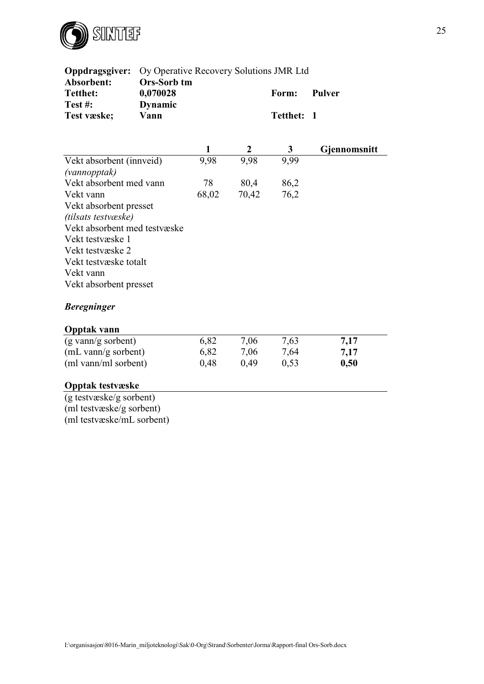

| Oppdragsgiver:<br>Oy Operative Recovery Solutions JMR Ltd |                                                  |       |                  |                   |                     |  |  |
|-----------------------------------------------------------|--------------------------------------------------|-------|------------------|-------------------|---------------------|--|--|
| Absorbent:<br><b>Tetthet:</b><br>Test#:                   | <b>Ors-Sorb tm</b><br>0,070028<br><b>Dynamic</b> |       |                  | Form:             | Pulver              |  |  |
| Test væske;                                               | Vann                                             |       |                  | <b>Tetthet:</b>   | $\mathbf{1}$        |  |  |
|                                                           |                                                  | 1     | $\boldsymbol{2}$ | 3                 | <b>Gjennomsnitt</b> |  |  |
| Vekt absorbent (innveid)                                  |                                                  | 9,98  | 9,98             | $\overline{9,}99$ |                     |  |  |
| (vannopptak)                                              |                                                  |       |                  |                   |                     |  |  |
| Vekt absorbent med vann                                   |                                                  | 78    | 80,4             | 86,2              |                     |  |  |
| Vekt vann                                                 |                                                  | 68,02 | 70,42            | 76,2              |                     |  |  |
| Vekt absorbent presset                                    |                                                  |       |                  |                   |                     |  |  |
| (tilsats testvæske)                                       |                                                  |       |                  |                   |                     |  |  |
| Vekt absorbent med testvæske                              |                                                  |       |                  |                   |                     |  |  |
| Vekt testvæske 1                                          |                                                  |       |                  |                   |                     |  |  |
| Vekt testvæske 2                                          |                                                  |       |                  |                   |                     |  |  |
| Vekt testvæske totalt                                     |                                                  |       |                  |                   |                     |  |  |
| Vekt vann                                                 |                                                  |       |                  |                   |                     |  |  |
| Vekt absorbent presset                                    |                                                  |       |                  |                   |                     |  |  |
| <b>Beregninger</b>                                        |                                                  |       |                  |                   |                     |  |  |
| <b>Opptak vann</b>                                        |                                                  |       |                  |                   |                     |  |  |
| (g vann/g sorbent)                                        |                                                  | 6,82  | 7,06             | 7,63              | 7,17                |  |  |
| (mL vann/g sorbent)                                       |                                                  | 6,82  | 7,06             | 7,64              | 7,17                |  |  |
| (ml vann/ml sorbent)                                      |                                                  | 0,48  | 0,49             | 0,53              | 0,50                |  |  |
| <b>Opptak testvæske</b>                                   |                                                  |       |                  |                   |                     |  |  |
| (g testvæske/g sorbent)                                   |                                                  |       |                  |                   |                     |  |  |
| (ml testvæske/g sorbent)                                  |                                                  |       |                  |                   |                     |  |  |

(ml testvæske/mL sorbent)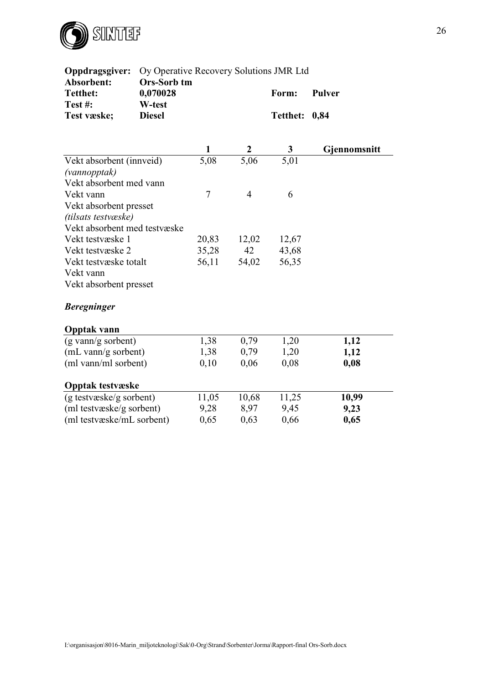

| Oppdragsgiver:                                      | Oy Operative Recovery Solutions JMR Ltd |                |                |                 |               |  |  |  |
|-----------------------------------------------------|-----------------------------------------|----------------|----------------|-----------------|---------------|--|--|--|
| Absorbent:<br><b>Tetthet:</b><br>Test#:             | Ors-Sorb tm<br>0,070028<br>W-test       |                |                | Form:           | <b>Pulver</b> |  |  |  |
| Test væske;                                         | <b>Diesel</b>                           |                |                | <b>Tetthet:</b> | 0,84          |  |  |  |
|                                                     |                                         |                |                |                 |               |  |  |  |
|                                                     |                                         | 1              |                | $\mathbf{3}$    | Gjennomsnitt  |  |  |  |
| Vekt absorbent (innveid)                            |                                         | 5,08           | 5,06           | 5,01            |               |  |  |  |
| (vannopptak)                                        |                                         |                |                |                 |               |  |  |  |
| Vekt absorbent med vann                             |                                         |                |                |                 |               |  |  |  |
| Vekt vann                                           |                                         | $\overline{7}$ | $\overline{4}$ | 6               |               |  |  |  |
| Vekt absorbent presset                              |                                         |                |                |                 |               |  |  |  |
| (tilsats testvæske)<br>Vekt absorbent med testvæske |                                         |                |                |                 |               |  |  |  |
| Vekt testvæske 1                                    |                                         | 20,83          | 12,02          | 12,67           |               |  |  |  |
| Vekt testvæske 2                                    |                                         | 35,28          | 42             | 43,68           |               |  |  |  |
| Vekt testvæske totalt                               |                                         | 56,11          | 54,02          | 56,35           |               |  |  |  |
| Vekt vann                                           |                                         |                |                |                 |               |  |  |  |
| Vekt absorbent presset                              |                                         |                |                |                 |               |  |  |  |
| <b>Beregninger</b>                                  |                                         |                |                |                 |               |  |  |  |
| <b>Opptak vann</b>                                  |                                         |                |                |                 |               |  |  |  |
| (g vann/g sorbent)                                  |                                         | 1,38           | 0,79           | 1,20            | 1,12          |  |  |  |
| (mL vann/g sorbent)                                 |                                         | 1,38           | 0,79           | 1,20            | 1,12          |  |  |  |
| (ml vann/ml sorbent)                                |                                         | 0,10           | 0,06           | 0,08            | 0,08          |  |  |  |
| <b>Opptak testvæske</b>                             |                                         |                |                |                 |               |  |  |  |
| (g testvæske/g sorbent)                             |                                         | 11,05          | 10,68          | 11,25           | 10,99         |  |  |  |
| (ml testvæske/g sorbent)                            |                                         | 9,28           | 8,97           | 9,45            | 9,23          |  |  |  |
| (ml testvæske/mL sorbent)                           |                                         | 0,65           | 0,63           | 0,66            | 0,65          |  |  |  |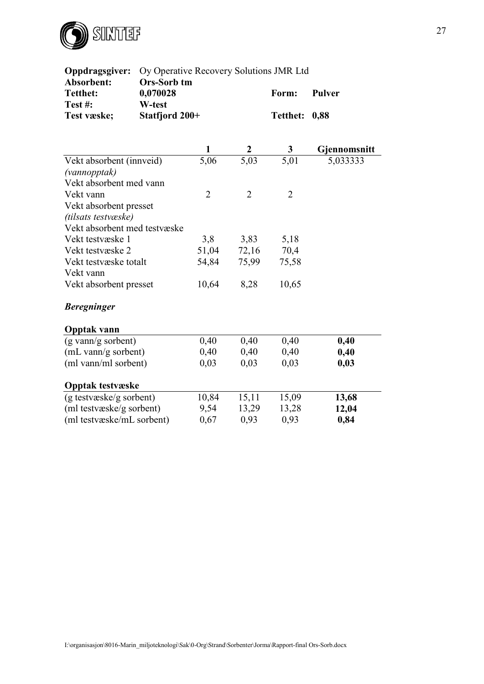

| Oppdragsgiver:               | Oy Operative Recovery Solutions JMR Ltd |                   |                   |                   |               |  |  |  |  |
|------------------------------|-----------------------------------------|-------------------|-------------------|-------------------|---------------|--|--|--|--|
| Absorbent:                   | <b>Ors-Sorb tm</b>                      |                   |                   |                   |               |  |  |  |  |
| <b>Tetthet:</b>              | 0,070028                                |                   |                   | Form:             | <b>Pulver</b> |  |  |  |  |
| Test#:                       | W-test                                  |                   |                   |                   |               |  |  |  |  |
| Test væske;                  | Statfjord 200+                          |                   |                   | <b>Tetthet:</b>   | 0,88          |  |  |  |  |
|                              |                                         |                   |                   |                   |               |  |  |  |  |
|                              |                                         | $\mathbf{1}$      | $\boldsymbol{2}$  | $\mathbf{3}$      | Gjennomsnitt  |  |  |  |  |
| Vekt absorbent (innveid)     |                                         | $\overline{5,06}$ | $\overline{5,03}$ | $\overline{5,01}$ | 5,033333      |  |  |  |  |
| (vannopptak)                 |                                         |                   |                   |                   |               |  |  |  |  |
| Vekt absorbent med vann      |                                         |                   |                   |                   |               |  |  |  |  |
| Vekt vann                    |                                         | $\overline{2}$    | $\overline{2}$    | $\overline{2}$    |               |  |  |  |  |
| Vekt absorbent presset       |                                         |                   |                   |                   |               |  |  |  |  |
| (tilsats testvæske)          |                                         |                   |                   |                   |               |  |  |  |  |
| Vekt absorbent med testvæske |                                         |                   |                   |                   |               |  |  |  |  |
| Vekt testvæske 1             |                                         | 3,8               | 3,83              | 5,18              |               |  |  |  |  |
| Vekt testvæske 2             | 51,04                                   | 72,16             | 70,4              |                   |               |  |  |  |  |
| Vekt testvæske totalt        |                                         | 54,84             | 75,99             | 75,58             |               |  |  |  |  |
| Vekt vann                    |                                         |                   |                   |                   |               |  |  |  |  |
| Vekt absorbent presset       |                                         | 10,64             | 8,28              | 10,65             |               |  |  |  |  |
| <b>Beregninger</b>           |                                         |                   |                   |                   |               |  |  |  |  |
| <b>Opptak vann</b>           |                                         |                   |                   |                   |               |  |  |  |  |
| (g vann/g sorbent)           |                                         | 0,40              | 0,40              | 0,40              | 0,40          |  |  |  |  |
| (mL vann/g sorbent)          |                                         | 0,40              | 0,40              | 0,40              | 0,40          |  |  |  |  |
| (ml vann/ml sorbent)         |                                         | 0,03              | 0,03              | 0,03              | 0,03          |  |  |  |  |
| <b>Opptak testvæske</b>      |                                         |                   |                   |                   |               |  |  |  |  |
| (g testvæske/g sorbent)      |                                         | 10,84             | 15,11             | 15,09             | 13,68         |  |  |  |  |
| (ml testvæske/g sorbent)     |                                         | 9,54              | 13,29             | 13,28             | 12,04         |  |  |  |  |
| (ml testvæske/mL sorbent)    |                                         | 0,67              | 0,93              | 0,93              | 0,84          |  |  |  |  |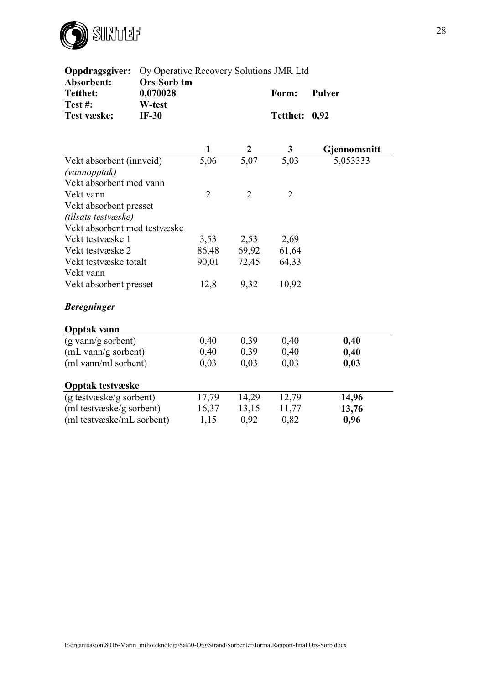

| Oppdragsgiver:<br>Oy Operative Recovery Solutions JMR Ltd |                                              |                |                  |                          |                       |  |  |
|-----------------------------------------------------------|----------------------------------------------|----------------|------------------|--------------------------|-----------------------|--|--|
| Absorbent:<br><b>Tetthet:</b><br>Test#:<br>Test væske;    | Ors-Sorb tm<br>0,070028<br>W-test<br>$IF-30$ |                |                  | Form:<br><b>Tetthet:</b> | <b>Pulver</b><br>0,92 |  |  |
|                                                           |                                              |                | $\frac{2}{5,07}$ | $\boldsymbol{3}$         | Gjennomsnitt          |  |  |
| Vekt absorbent (innveid)                                  |                                              | 5,06           |                  | 5,03                     | 5,053333              |  |  |
| (vannopptak)                                              |                                              |                |                  |                          |                       |  |  |
| Vekt absorbent med vann<br>Vekt vann                      |                                              | $\overline{2}$ | $\overline{2}$   | $\overline{2}$           |                       |  |  |
| Vekt absorbent presset                                    |                                              |                |                  |                          |                       |  |  |
| (tilsats testvæske)                                       |                                              |                |                  |                          |                       |  |  |
| Vekt absorbent med testvæske                              |                                              |                |                  |                          |                       |  |  |
| Vekt testvæske 1                                          |                                              | 3,53           | 2,53             | 2,69                     |                       |  |  |
| Vekt testvæske 2                                          |                                              | 86,48          | 69,92            | 61,64                    |                       |  |  |
| Vekt testvæske totalt                                     |                                              | 90,01          | 72,45            | 64,33                    |                       |  |  |
| Vekt vann                                                 |                                              |                |                  |                          |                       |  |  |
| Vekt absorbent presset                                    |                                              | 12,8           | 9,32             | 10,92                    |                       |  |  |
| <b>Beregninger</b>                                        |                                              |                |                  |                          |                       |  |  |
| <b>Opptak vann</b>                                        |                                              |                |                  |                          |                       |  |  |
| (g vann/g sorbent)                                        |                                              | 0,40           | 0,39             | 0,40                     | 0,40                  |  |  |
| (mL vann/g sorbent)                                       |                                              | 0,40           | 0,39             | 0,40                     | 0,40                  |  |  |
| (ml vann/ml sorbent)                                      |                                              | 0,03           | 0,03             | 0,03                     | 0,03                  |  |  |
| <b>Opptak testvæske</b>                                   |                                              |                |                  |                          |                       |  |  |
| (g testvæske/g sorbent)                                   |                                              | 17,79          | 14,29            | 12,79                    | 14,96                 |  |  |
| (ml testvæske/g sorbent)                                  |                                              | 16,37          | 13,15            | 11,77                    | 13,76                 |  |  |
| (ml testvæske/mL sorbent)                                 |                                              | 1,15           | 0,92             | 0,82                     | 0,96                  |  |  |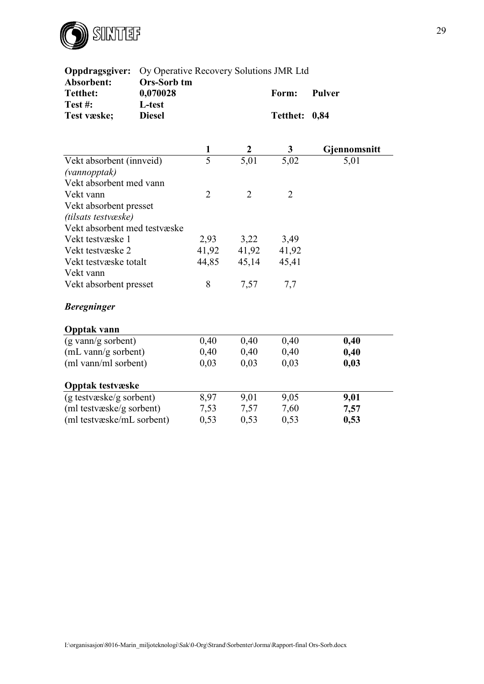

| Oppdragsgiver:                                         | Oy Operative Recovery Solutions JMR Ltd            |                |                  |                          |                       |
|--------------------------------------------------------|----------------------------------------------------|----------------|------------------|--------------------------|-----------------------|
| Absorbent:<br><b>Tetthet:</b><br>Test#:<br>Test væske; | Ors-Sorb tm<br>0,070028<br>L-test<br><b>Diesel</b> |                |                  | Form:<br><b>Tetthet:</b> | <b>Pulver</b><br>0,84 |
|                                                        |                                                    |                |                  |                          |                       |
|                                                        |                                                    |                |                  |                          | Gjennomsnitt          |
| Vekt absorbent (innveid)                               |                                                    | $\overline{5}$ | $\frac{2}{5,01}$ | $\frac{3}{5,02}$         | 5,01                  |
| (vannopptak)                                           |                                                    |                |                  |                          |                       |
| Vekt absorbent med vann                                |                                                    |                |                  |                          |                       |
| Vekt vann                                              |                                                    | $\overline{2}$ | $\overline{2}$   | $\overline{2}$           |                       |
| Vekt absorbent presset                                 |                                                    |                |                  |                          |                       |
| (tilsats testvæske)                                    |                                                    |                |                  |                          |                       |
| Vekt absorbent med testvæske                           |                                                    |                |                  |                          |                       |
| Vekt testvæske 1                                       |                                                    | 2,93           | 3,22             | 3,49                     |                       |
| Vekt testvæske 2                                       |                                                    | 41,92          | 41,92            | 41,92                    |                       |
| Vekt testvæske totalt                                  |                                                    | 44,85          | 45,14            | 45,41                    |                       |
| Vekt vann                                              |                                                    |                |                  |                          |                       |
| Vekt absorbent presset                                 |                                                    | 8              | 7,57             | 7,7                      |                       |
| <b>Beregninger</b>                                     |                                                    |                |                  |                          |                       |
| <b>Opptak vann</b>                                     |                                                    |                |                  |                          |                       |
| (g vann/g sorbent)                                     |                                                    | 0,40           | 0,40             | 0,40                     | 0,40                  |
| (mL vann/g sorbent)                                    |                                                    | 0,40           | 0,40             | 0,40                     | 0,40                  |
| (ml vann/ml sorbent)                                   |                                                    | 0,03           | 0,03             | 0,03                     | 0,03                  |
| <b>Opptak testvæske</b>                                |                                                    |                |                  |                          |                       |
| (g testvæske/g sorbent)                                |                                                    | 8,97           | 9,01             | 9,05                     | 9,01                  |
| (ml testvæske/g sorbent)                               |                                                    | 7,53           | 7,57             | 7,60                     | 7,57                  |
| (ml testvæske/mL sorbent)                              |                                                    | 0,53           | 0,53             | 0,53                     | 0,53                  |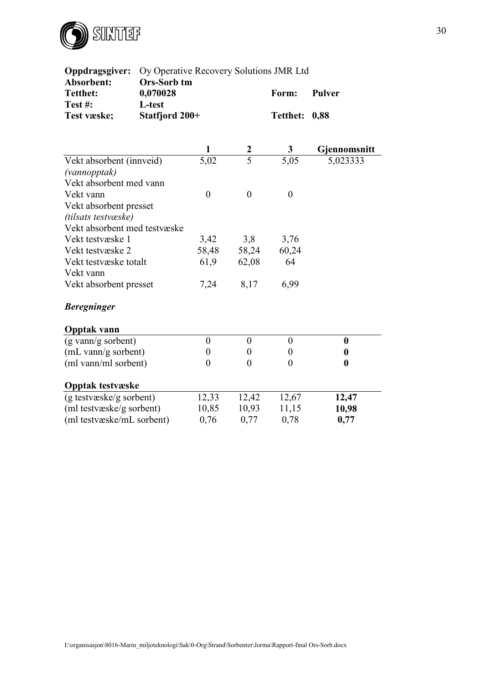

| Oppdragsgiver:<br>Oy Operative Recovery Solutions JMR Ltd |                                |                  |                  |                  |                       |  |  |  |
|-----------------------------------------------------------|--------------------------------|------------------|------------------|------------------|-----------------------|--|--|--|
| Absorbent:<br><b>Tetthet:</b>                             | <b>Ors-Sorb tm</b><br>0,070028 |                  |                  | Form:            | Pulver                |  |  |  |
| Test#:<br>Test væske;                                     | L-test<br>Statfjord 200+       |                  |                  | <b>Tetthet:</b>  | 0,88                  |  |  |  |
|                                                           |                                |                  |                  |                  |                       |  |  |  |
|                                                           |                                | 1                | $rac{2}{5}$      | 3                | Gjennomsnitt          |  |  |  |
| Vekt absorbent (innveid)                                  |                                | 5,02             |                  | 5,05             | $\overline{5,023333}$ |  |  |  |
| (vannopptak)                                              |                                |                  |                  |                  |                       |  |  |  |
| Vekt absorbent med vann                                   |                                |                  |                  |                  |                       |  |  |  |
| Vekt vann                                                 |                                | $\boldsymbol{0}$ | $\mathbf{0}$     | $\boldsymbol{0}$ |                       |  |  |  |
| Vekt absorbent presset                                    |                                |                  |                  |                  |                       |  |  |  |
| (tilsats testvæske)                                       |                                |                  |                  |                  |                       |  |  |  |
| Vekt absorbent med testvæske                              |                                |                  |                  |                  |                       |  |  |  |
| Vekt testvæske 1<br>Vekt testvæske 2                      |                                | 3,42<br>58,48    | 3,8              | 3,76             |                       |  |  |  |
| Vekt testvæske totalt                                     |                                | 61,9             | 58,24<br>62,08   | 60,24<br>64      |                       |  |  |  |
| Vekt vann                                                 |                                |                  |                  |                  |                       |  |  |  |
| Vekt absorbent presset                                    |                                | 7,24             | 8,17             | 6,99             |                       |  |  |  |
| <b>Beregninger</b>                                        |                                |                  |                  |                  |                       |  |  |  |
| <b>Opptak vann</b>                                        |                                |                  |                  |                  |                       |  |  |  |
| (g vann/g sorbent)                                        |                                | $\boldsymbol{0}$ | $\boldsymbol{0}$ | $\boldsymbol{0}$ | $\boldsymbol{0}$      |  |  |  |
| (mL vann/g sorbent)                                       |                                | $\boldsymbol{0}$ | $\boldsymbol{0}$ | $\boldsymbol{0}$ | $\boldsymbol{0}$      |  |  |  |
| (ml vann/ml sorbent)                                      |                                | $\boldsymbol{0}$ | $\overline{0}$   | $\overline{0}$   | $\boldsymbol{0}$      |  |  |  |
| <b>Opptak testvæske</b>                                   |                                |                  |                  |                  |                       |  |  |  |
| (g testvæske/g sorbent)                                   |                                | 12,33            | 12,42            | 12,67            | 12,47                 |  |  |  |
| (ml testvæske/g sorbent)                                  |                                | 10,85            | 10,93            | 11,15            | 10,98                 |  |  |  |
| (ml testvæske/mL sorbent)                                 |                                | 0,76             | 0,77             | 0,78             | 0,77                  |  |  |  |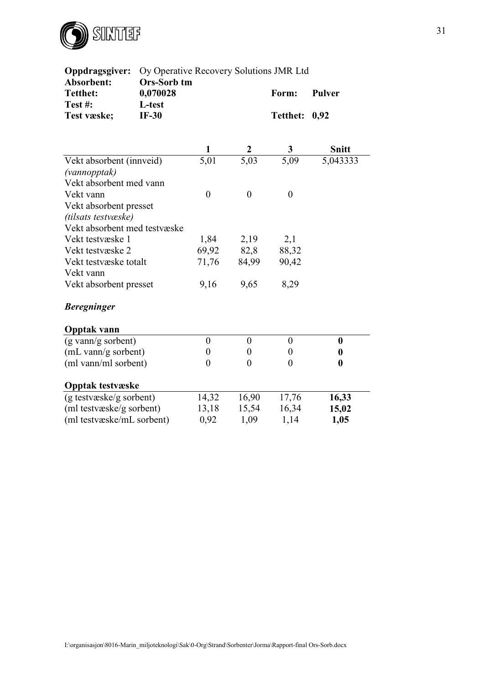

| Oppdragsgiver:<br>Oy Operative Recovery Solutions JMR Ltd |                                   |                   |                  |                  |                       |  |  |  |
|-----------------------------------------------------------|-----------------------------------|-------------------|------------------|------------------|-----------------------|--|--|--|
| Absorbent:<br><b>Tetthet:</b><br>Test#:                   | Ors-Sorb tm<br>0,070028<br>L-test |                   |                  | Form:            | <b>Pulver</b>         |  |  |  |
| Test væske;                                               | $IF-30$                           |                   |                  | <b>Tetthet:</b>  | 0,92                  |  |  |  |
|                                                           |                                   | 1                 |                  |                  | <b>Snitt</b>          |  |  |  |
| Vekt absorbent (innveid)                                  |                                   | $\overline{5,01}$ | 5,03             | 5,09             | $\overline{5,043333}$ |  |  |  |
| (vannopptak)                                              |                                   |                   |                  |                  |                       |  |  |  |
| Vekt absorbent med vann<br>Vekt vann                      |                                   | $\overline{0}$    | $\overline{0}$   | $\overline{0}$   |                       |  |  |  |
| Vekt absorbent presset                                    |                                   |                   |                  |                  |                       |  |  |  |
| (tilsats testvæske)                                       |                                   |                   |                  |                  |                       |  |  |  |
| Vekt absorbent med testvæske                              |                                   |                   |                  |                  |                       |  |  |  |
| Vekt testvæske 1                                          |                                   | 1,84              | 2,19             | 2,1              |                       |  |  |  |
| Vekt testvæske 2                                          |                                   | 69,92             | 82,8             | 88,32            |                       |  |  |  |
| Vekt testvæske totalt                                     |                                   | 71,76             | 84,99            | 90,42            |                       |  |  |  |
| Vekt vann                                                 |                                   |                   |                  |                  |                       |  |  |  |
| Vekt absorbent presset                                    |                                   | 9,16              | 9,65             | 8,29             |                       |  |  |  |
| <b>Beregninger</b>                                        |                                   |                   |                  |                  |                       |  |  |  |
| <b>Opptak vann</b>                                        |                                   |                   |                  |                  |                       |  |  |  |
| (g vann/g sorbent)                                        |                                   | $\boldsymbol{0}$  | $\boldsymbol{0}$ | $\boldsymbol{0}$ | $\boldsymbol{0}$      |  |  |  |
| (mL vann/g sorbent)                                       |                                   | $\overline{0}$    | $\theta$         | $\overline{0}$   | $\boldsymbol{0}$      |  |  |  |
| (ml vann/ml sorbent)                                      |                                   | $\overline{0}$    | $\theta$         | $\overline{0}$   | $\boldsymbol{0}$      |  |  |  |
| <b>Opptak testvæske</b>                                   |                                   |                   |                  |                  |                       |  |  |  |
| (g testvæske/g sorbent)                                   |                                   | 14,32             | 16,90            | 17,76            | 16,33                 |  |  |  |
| (ml testvæske/g sorbent)                                  |                                   | 13,18             | 15,54            | 16,34            | 15,02                 |  |  |  |
| (ml testvæske/mL sorbent)                                 |                                   | 0,92              | 1,09             | 1,14             | 1,05                  |  |  |  |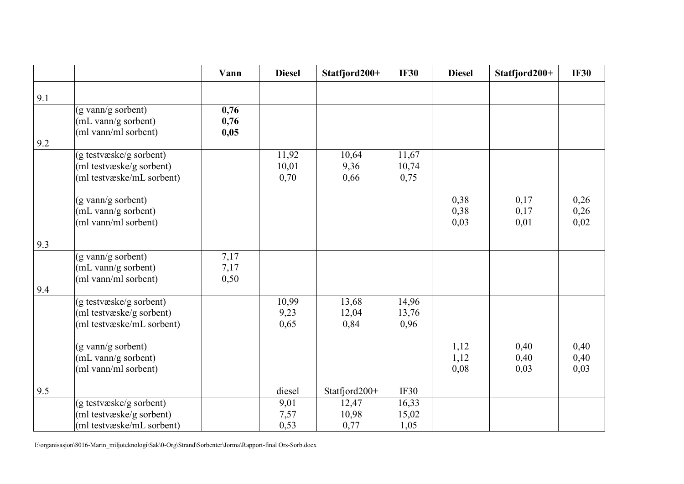|     |                                                                                  | Vann                 | <b>Diesel</b>          | Statfjord200+          | <b>IF30</b>            | <b>Diesel</b>        | Statfjord200+        | <b>IF30</b>          |
|-----|----------------------------------------------------------------------------------|----------------------|------------------------|------------------------|------------------------|----------------------|----------------------|----------------------|
| 9.1 |                                                                                  |                      |                        |                        |                        |                      |                      |                      |
| 9.2 | (g vann/g sorbent)<br>(mL vann/g sorbent)<br>(ml vann/ml sorbent)                | 0,76<br>0,76<br>0,05 |                        |                        |                        |                      |                      |                      |
|     | (g testvæske/g sorbent)<br>(ml testvæske/g sorbent)<br>(ml testvæske/mL sorbent) |                      | 11,92<br>10,01<br>0,70 | 10,64<br>9,36<br>0,66  | 11,67<br>10,74<br>0,75 |                      |                      |                      |
|     | (g vann/g sorbent)<br>(mL vann/g sorbent)<br>(ml vann/ml sorbent)                |                      |                        |                        |                        | 0,38<br>0,38<br>0,03 | 0,17<br>0,17<br>0,01 | 0,26<br>0,26<br>0,02 |
| 9.3 |                                                                                  |                      |                        |                        |                        |                      |                      |                      |
|     | (g vann/g sorbent)<br>(mL vann/g sorbent)<br>(ml vann/ml sorbent)                | 7,17<br>7,17<br>0,50 |                        |                        |                        |                      |                      |                      |
| 9.4 |                                                                                  |                      |                        |                        |                        |                      |                      |                      |
|     | (g testvæske/g sorbent)<br>(ml testvæske/g sorbent)<br>(ml testvæske/mL sorbent) |                      | 10,99<br>9,23<br>0,65  | 13,68<br>12,04<br>0,84 | 14,96<br>13,76<br>0,96 |                      |                      |                      |
|     | (g vann/g sorbent)<br>(mL vann/g sorbent)<br>(ml vann/ml sorbent)                |                      |                        |                        |                        | 1,12<br>1,12<br>0,08 | 0,40<br>0,40<br>0,03 | 0,40<br>0,40<br>0,03 |
| 9.5 |                                                                                  |                      | diesel                 | Statfjord200+          | IF30                   |                      |                      |                      |
|     | (g testvæske/g sorbent)<br>(ml testvæske/g sorbent)<br>(ml testvæske/mL sorbent) |                      | 9,01<br>7,57<br>0,53   | 12,47<br>10,98<br>0,77 | 16,33<br>15,02<br>1,05 |                      |                      |                      |

I:\organisasjon\8016-Marin\_miljoteknologi\Sak\0-Org\Strand\Sorbenter\Jorma\Rapport-final Ors-Sorb.docx